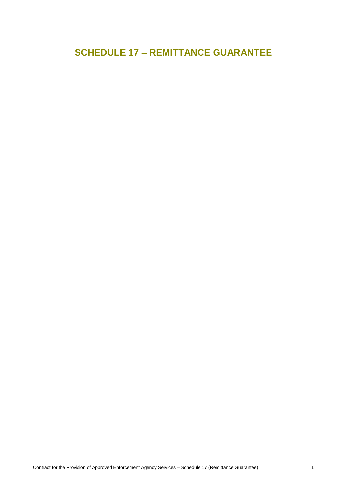# **SCHEDULE 17 – REMITTANCE GUARANTEE**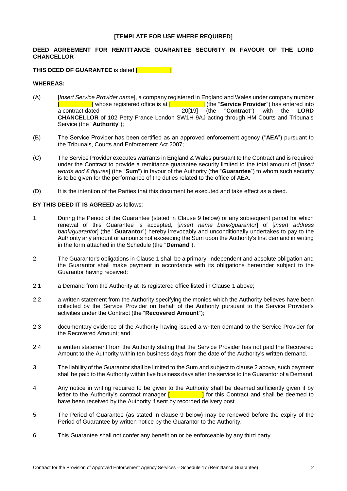# **[TEMPLATE FOR USE WHERE REQUIRED]**

# **DEED AGREEMENT FOR REMITTANCE GUARANTEE SECURITY IN FAVOUR OF THE LORD CHANCELLOR**

# **THIS DEED OF GUARANTEE** is dated [

#### **WHEREAS:**

- (A) [*Insert Service Provider name*], a company registered in England and Wales under company number [ ] whose registered office is at [ ] (the "**Service Provider**") has entered into a contract dated 20[19] (the "**Contract**") with the **LORD CHANCELLOR** of 102 Petty France London SW1H 9AJ acting through HM Courts and Tribunals Service (the "**Authority**");
- (B) The Service Provider has been certified as an approved enforcement agency ("**AEA**") pursuant to the Tribunals, Courts and Enforcement Act 2007;
- (C) The Service Provider executes warrants in England & Wales pursuant to the Contract and is required under the Contract to provide a remittance guarantee security limited to the total amount of [*insert words and £ figures*] (the "**Sum**") in favour of the Authority (the "**Guarantee**") to whom such security is to be given for the performance of the duties related to the office of AEA.
- (D) It is the intention of the Parties that this document be executed and take effect as a deed.

#### **BY THIS DEED IT IS AGREED** as follows:

- <span id="page-1-0"></span>1. During the Period of the Guarantee (stated in Clause 9 below) or any subsequent period for which renewal of this Guarantee is accepted, [*insert name bank/guarantor*] of [*insert address bank/guarantor*] (the "**Guarantor**") hereby irrevocably and unconditionally undertakes to pay to the Authority any amount or amounts not exceeding the Sum upon the Authority's first demand in writing in the form attached in the Schedule (the "**Demand**").
- 2. The Guarantor's obligations in Clause [1](#page-1-0) shall be a primary, independent and absolute obligation and the Guarantor shall make payment in accordance with its obligations hereunder subject to the Guarantor having received:
- 2.1 a Demand from the Authority at its registered office listed in Clause [1](#page-1-0) above;
- 2.2 a written statement from the Authority specifying the monies which the Authority believes have been collected by the Service Provider on behalf of the Authority pursuant to the Service Provider's activities under the Contract (the "**Recovered Amount**");
- 2.3 documentary evidence of the Authority having issued a written demand to the Service Provider for the Recovered Amount; and
- 2.4 a written statement from the Authority stating that the Service Provider has not paid the Recovered Amount to the Authority within ten business days from the date of the Authority's written demand.
- 3. The liability of the Guarantor shall be limited to the Sum and subject to clause 2 above, such payment shall be paid to the Authority within five business days after the service to the Guarantor of a Demand.
- 4. Any notice in writing required to be given to the Authority shall be deemed sufficiently given if by letter to the Authority's contract manager  $\begin{bmatrix} 1 & 1 \end{bmatrix}$  for this Contract and shall be deemed to have been received by the Authority if sent by recorded delivery post.
- 5. The Period of Guarantee (as stated in clause 9 below) may be renewed before the expiry of the Period of Guarantee by written notice by the Guarantor to the Authority.
- 6. This Guarantee shall not confer any benefit on or be enforceable by any third party.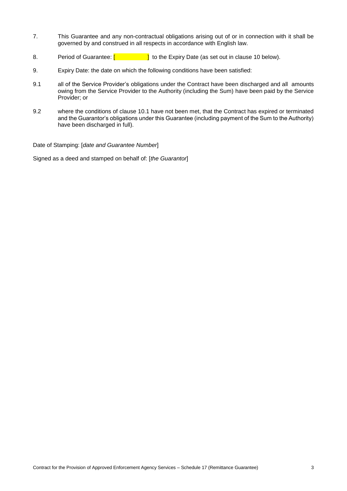- 7. This Guarantee and any non-contractual obligations arising out of or in connection with it shall be governed by and construed in all respects in accordance with English law.
- 8. Period of Guarantee:  $\begin{bmatrix} 1 & 1 \\ 1 & 1 \end{bmatrix}$  to the Expiry Date (as set out in clause 10 below).
- 9. Expiry Date: the date on which the following conditions have been satisfied:
- 9.1 all of the Service Provider's obligations under the Contract have been discharged and all amounts owing from the Service Provider to the Authority (including the Sum) have been paid by the Service Provider; or
- 9.2 where the conditions of clause 10.1 have not been met, that the Contract has expired or terminated and the Guarantor's obligations under this Guarantee (including payment of the Sum to the Authority) have been discharged in full).

Date of Stamping: [*date and Guarantee Number*]

Signed as a deed and stamped on behalf of: [*the Guarantor*]